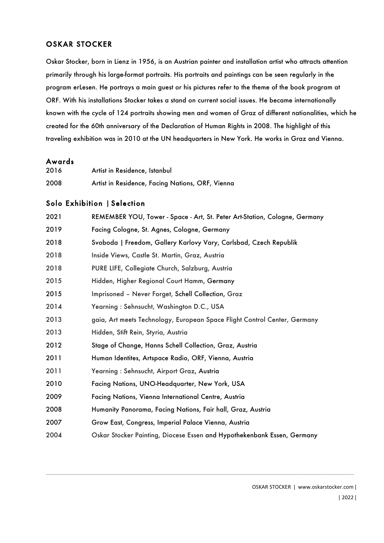## OSKAR STOCKER

Oskar Stocker, born in Lienz in 1956, is an Austrian painter and installation artist who attracts attention primarily through his large-format portraits. His portraits and paintings can be seen regularly in the program erLesen. He portrays a main guest or his pictures refer to the theme of the book program at ORF. With his installations Stocker takes a stand on current social issues. He became internationally known with the cycle of 124 portraits showing men and women of Graz of different nationalities, which he created for the 60th anniversary of the Declaration of Human Rights in 2008. The highlight of this traveling exhibition was in 2010 at the UN headquarters in New York. He works in Graz and Vienna.

### Awards

| 2016 | Artist in Residence, Istanbul                    |
|------|--------------------------------------------------|
| 2008 | Artist in Residence, Facing Nations, ORF, Vienna |

#### Solo Exhibition | Selection

| REMEMBER YOU, Tower - Space - Art, St. Peter Art-Station, Cologne, Germany |
|----------------------------------------------------------------------------|
| Facing Cologne, St. Agnes, Cologne, Germany                                |
| Svoboda   Freedom, Gallery Karlovy Vary, Carlsbad, Czech Republik          |
| Inside Views, Castle St. Martin, Graz, Austria                             |
| PURE LIFE, Collegiate Church, Salzburg, Austria                            |
| Hidden, Higher Regional Court Hamm, Germany                                |
| Imprisoned - Never Forget, Schell Collection, Graz                         |
| Yearning: Sehnsucht, Washington D.C., USA                                  |
| gaia, Art meets Technology, European Space Flight Control Center, Germany  |
| Hidden, Stift Rein, Styria, Austria                                        |
| Stage of Change, Hanns Schell Collection, Graz, Austria                    |
| Human Identites, Artspace Radio, ORF, Vienna, Austria                      |
| Yearning: Sehnsucht, Airport Graz, Austria                                 |
| Facing Nations, UNO-Headquarter, New York, USA                             |
| Facing Nations, Vienna International Centre, Austria                       |
| Humanity Panorama, Facing Nations, Fair hall, Graz, Austria                |
| Grow East, Congress, Imperial Palace Vienna, Austria                       |
| Oskar Stocker Painting, Diocese Essen and Hypothekenbank Essen, Germany    |
|                                                                            |

\_\_\_\_\_\_\_\_\_\_\_\_\_\_\_\_\_\_\_\_\_\_\_\_\_\_\_\_\_\_\_\_\_\_\_\_\_\_\_\_\_\_\_\_\_\_\_\_\_\_\_\_\_\_\_\_\_\_\_\_\_\_\_\_\_\_\_\_\_\_\_\_\_\_\_\_\_\_\_\_\_\_\_\_\_\_\_\_\_\_\_\_\_\_\_\_\_\_\_\_\_\_\_\_\_\_\_\_\_\_\_\_\_\_\_\_\_\_\_\_\_\_\_\_\_\_\_\_\_